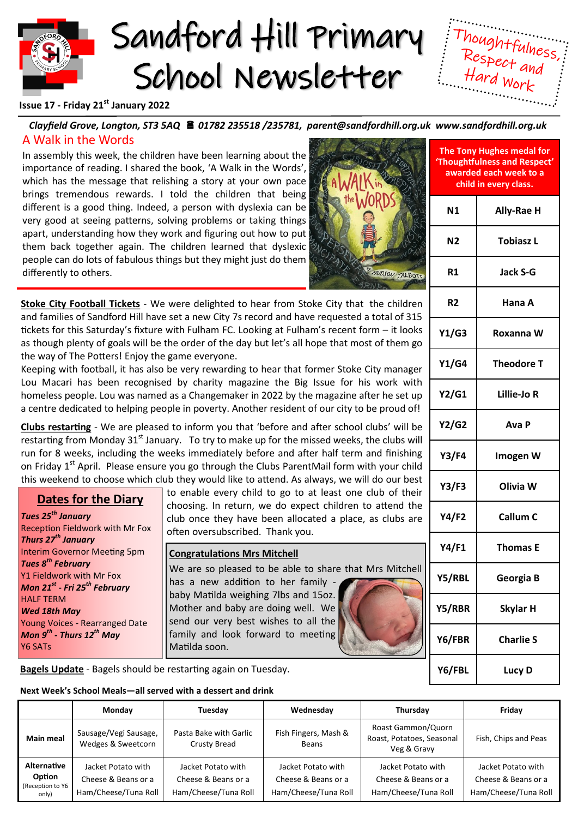



**'Thoughtfulness and Respect' awarded each week to a child in every class.**

**N1 Ally-Rae H**

## **Issue 17 - Friday 21st January 2022**

#### *Clayfield Grove, Longton, ST3 5AQ 01782 235518 /235781, parent@sandfordhill.org.uk www.sandfordhill.org.uk* A Walk in the Words **The Tony Hughes medal for**

In assembly this week, the children have been learning about the importance of reading. I shared the book, 'A Walk in the Words', which has the message that relishing a story at your own pace brings tremendous rewards. I told the children that being different is a good thing. Indeed, a person with dyslexia can be very good at seeing patterns, solving problems or taking things apart, understanding how they work and figuring out how to put them back together again. The children learned that dyslexic people can do lots of fabulous things but they might just do them differently to others.



**Stoke City Football Tickets** - We were delighted to hear from Stoke City that the children and families of Sandford Hill have set a new City 7s record and have requested a total of 315 tickets for this Saturday's fixture with Fulham FC. Looking at Fulham's recent form – it looks as though plenty of goals will be the order of the day but let's all hope that most of them go the way of The Potters! Enjoy the game everyone.

Keeping with football, it has also be very rewarding to hear that former Stoke City manager Lou Macari has been recognised by charity magazine the Big Issue for his work with homeless people. Lou was named as a Changemaker in 2022 by the magazine after he set up a centre dedicated to helping people in poverty. Another resident of our city to be proud of!

**Clubs restarting** - We are pleased to inform you that 'before and after school clubs' will be restarting from Monday  $31<sup>st</sup>$  January. To try to make up for the missed weeks, the clubs will run for 8 weeks, including the weeks immediately before and after half term and finishing on Friday 1<sup>st</sup> April. Please ensure you go through the Clubs ParentMail form with your child this weekend to choose which club they would like to attend. As always, we will do our best

# **Dates for the Diary**

*Tues 25th January* Reception Fieldwork with Mr Fox *Thurs 27th January* Interim Governor Meeting 5pm *Tues 8th February* Y1 Fieldwork with Mr Fox *Mon 21st - Fri 25th February* HALF TERM *Wed 18th May* Young Voices - Rearranged Date *Mon 9th - Thurs 12th May* Y6 SATs

to enable every child to go to at least one club of their choosing. In return, we do expect children to attend the club once they have been allocated a place, as clubs are often oversubscribed. Thank you.

#### **Congratulations Mrs Mitchell**

We are so pleased to be able to share that Mrs Mitchell has a new addition to her family baby Matilda weighing 7lbs and 15oz. Mother and baby are doing well. We send our very best wishes to all the family and look forward to meeting Matilda soon.

| N2             | <b>Tobiasz L</b>  |  |  |  |
|----------------|-------------------|--|--|--|
| R1             | Jack S-G          |  |  |  |
| R <sub>2</sub> | Hana A            |  |  |  |
| Y1/G3          | Roxanna W         |  |  |  |
| Y1/G4          | <b>Theodore T</b> |  |  |  |
| Y2/G1          | Lillie-Jo R       |  |  |  |
| <b>Y2/G2</b>   | Ava P             |  |  |  |
| Y3/F4          | Imogen W          |  |  |  |
| Y3/F3          | Olivia W          |  |  |  |
| Y4/F2          | Callum C          |  |  |  |
| <b>Y4/F1</b>   | <b>Thomas E</b>   |  |  |  |
| Y5/RBL         | Georgia B         |  |  |  |
| Y5/RBR         | <b>Skylar H</b>   |  |  |  |
| Y6/FBR         | <b>Charlie S</b>  |  |  |  |

**Y6/FBL Lucy D**

**Bagels Update** - Bagels should be restarting again on Tuesday.

# **Next Week's School Meals—all served with a dessert and drink**

|                                                           | Monday                                                            | Tuesday                                                           | Wednesday                                                         | Thursday                                                          | Fridav                                                            |
|-----------------------------------------------------------|-------------------------------------------------------------------|-------------------------------------------------------------------|-------------------------------------------------------------------|-------------------------------------------------------------------|-------------------------------------------------------------------|
| <b>Main meal</b>                                          | Sausage/Vegi Sausage,<br>Wedges & Sweetcorn                       | Pasta Bake with Garlic<br>Crusty Bread                            | Fish Fingers, Mash &<br><b>Beans</b>                              | Roast Gammon/Quorn<br>Roast, Potatoes, Seasonal<br>Veg & Gravy    | Fish, Chips and Peas                                              |
| <b>Alternative</b><br>Option<br>(Reception to Y6<br>only) | Jacket Potato with<br>Cheese & Beans or a<br>Ham/Cheese/Tuna Roll | Jacket Potato with<br>Cheese & Beans or a<br>Ham/Cheese/Tuna Roll | Jacket Potato with<br>Cheese & Beans or a<br>Ham/Cheese/Tuna Roll | Jacket Potato with<br>Cheese & Beans or a<br>Ham/Cheese/Tuna Roll | Jacket Potato with<br>Cheese & Beans or a<br>Ham/Cheese/Tuna Roll |